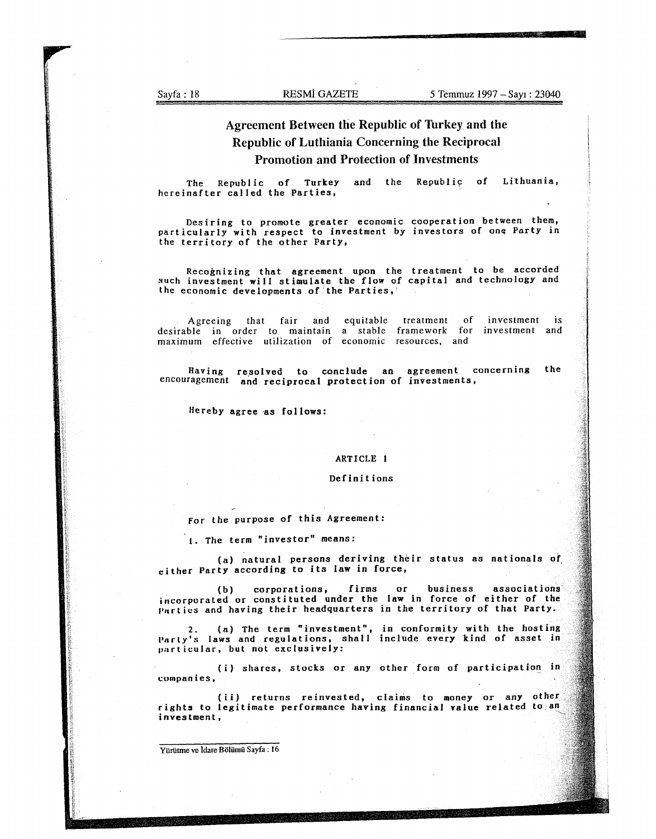# Agreement Between the Republic of Turkey and the Republic of Luthiania Concerning the Reciprocal Promotion and Protection of Investments

The Republic of Turkey and the Republic of Lithuania, hereinafter called the Parties,

Desiring to promote greater economic cooperation between them, particularly with respect to investment by investors of one Party in the territory of the other Party,

Recognizing that agreement upon the treatment to be accorded such investment will stimulate the flow of capital and technology and the economic developments of the Parties,

Agreeing that fair and equitable desirable in order to maintain a stable framework for investment and maximum effective utilization of economic resources, and treatment of investment is

Having Having resolved to conclude an agreement concerning<br>encouragement and reciprocal protection of investments, and reciprocal protection of investments, the

Hereby agree -as follows:

### ARTICLE 1

### Definitions

for the purpose of this Agreement:

1. The term "investor" means:

 $(a)$  natural persons deriving their status as nationals of either Party according to its law in force,

(b) corporations, firms or business associations incorporated or constituted under the law in force of either of the Parties and having their headquarters in the territory of that Party.

2. (a) The term "investment", in conformity with the hosting Party's laws and regulations, shall include every kind of asset in particular, but not exclusively:

(i) shares, stocks or any other form of participation in companies.

(ii) returns reinvested, claims to money or any other rights to legitimate performance having financial value related to an investment,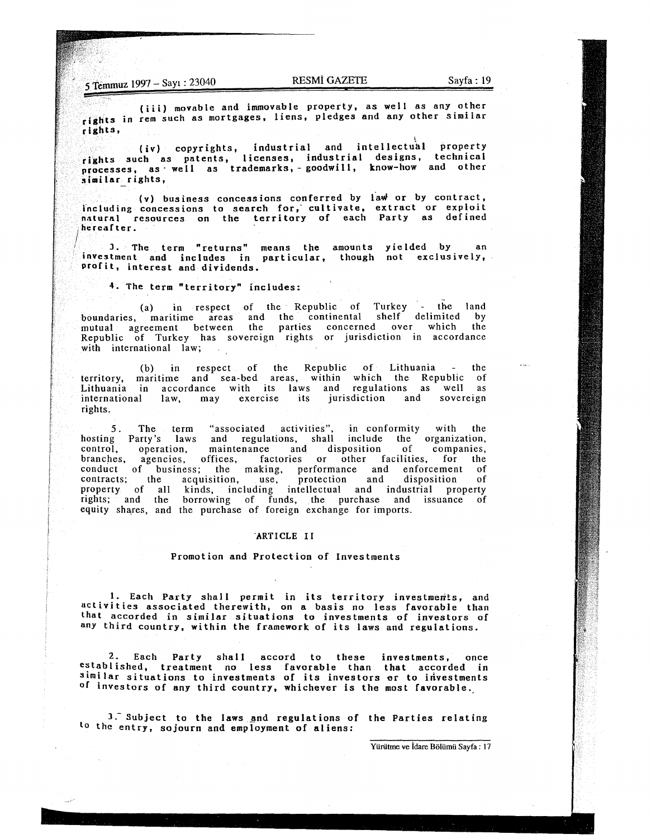<sup>~</sup>5 Temmuz 1997 - SaYl : 23040

:z

# RESMİ GAZETE Sayfa: 19

(iii) movable and immovable property, as well as any other rights in rem such as mortgages, liens, pledges and any other similar rights,

(iv) copyrights, industrial and intellectual property rights such as patents, licenses, industrial designs, technical<br>processes, as well as trademarks, goodwill, know-how and other processes, as well as trademarks, - goodwill, know-how and other similar rights,

 $(v)$  business concessions conferred by law or by contract, including concessions to search for, cultivate, extract or exploit natural resources on the territory of each Party as defined hereafter.

l. The term "returns" means the and a the term "returns" means the amounts<br>investment and includes in particular, though profit, interest and dividends. though yielded by an not exclusivelY,

### 4. The term "territory" includes:

(a) in respect of the Republic of Turkey - the land boundaries, maritime areas and the continental shelf delimited by mutual agreement between the parties concerned over which the Republic of Turkey has sovereign rights or jurisdiction in accordance with international law;

 $(b)$  in respect of the Republic of Lithuania  $-$  the territory, maritime and sea-bed areas, within which the Republic of Lithuania in accordance with its laws and regulations as well as international law, may exercise its jurisdiction and sovereign rights,

5, The term "associated activities", in conformity with the hosting Party's laws and regulations, shall include the organization, control, operation, maintenance and disposition of companies, operation, maintenance and disposition branches, agencies, offices, factories or other facilities, for the conduct of business; the making, performance and enforcement of contracts; the acquisition, use, protection and disposition of property of all kinds, including intellectual and industrial property rights; and the borrowing of funds, the purchase and issuance of equity shares, and the purchase of foreign exchange for imports.

### 'ARTICLE II

### Promotion and Protection of Investments

1. Each Party shall permit in its territory investments, and activities associated therewith, on a basis no less favorable than that accorded in similar situations to investments of investors of any third country, within the framework of its laws and regulations.

2. Each Party shall accord to these established, treatment no less favorable than similar situations to investments of its investors or to investments of investors of any third country. whichever is the most favorable. investments, once that accorded in

3. Subject to the laws and regulations of the Parties relating to the entry, sojourn and employment of aliens: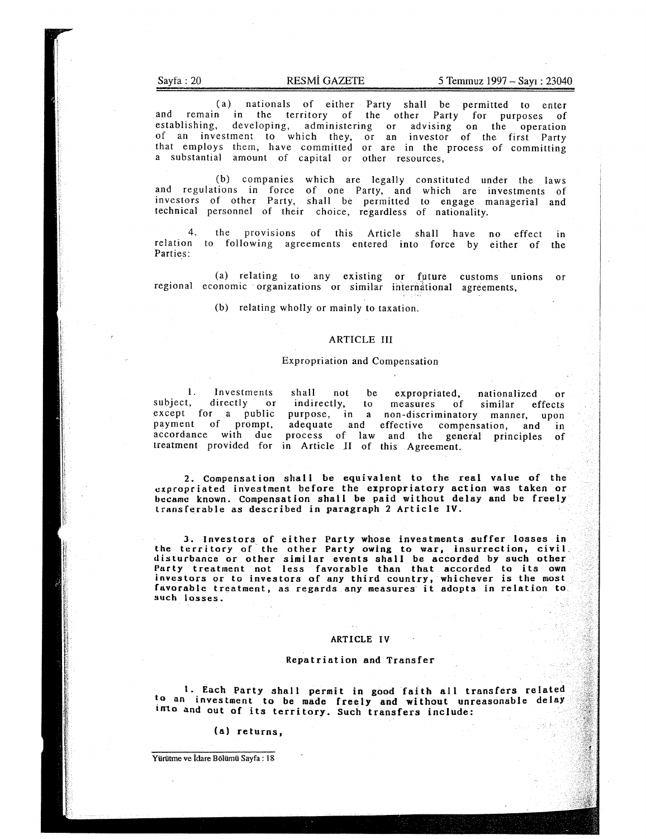(a) nationals of either Party shall be permitted to enter and remain in the territory of the other Party for purposes of establishing, developing, administering or advising on the operation developing, administering or advising on the operation of an investment to which they, or an investor of the first Party that employs them, have committed or are in the process of committing a substantial amount of capital or other resources,

(b) companies which are legally and regulations in force of one Party, and investors of other Party, shall be permitted technical personnel of their choice, regardless constituted under the which are investments to engage managerial of nationality. laws of and

4. 4. the provisions of this Article shall have no effect in<br>relation to following agreements entered into force by either of the Parties: the provisions of this Article shall have no effect in

(a) relating to any existing or future customs unions<br>regional economic organizations or similar international agreements, (a) relating to any existing or

(b) relating wholly or mainly to taxation.

# ARTICLE III

### Expropriation and Compensation

l. Investments shall not be expropriated, nationalized or subject, directly or indirectly, to measures of similar effects except for a public purpose, in a non-discriminatory manner, upon payment of prompt, adequate and effective compensation, and in accordance with due process of law and the general principles of treatment provided for in Article 11 of this Agreement.

2. Compensat ion shall be equivalent to the real value of the ~xpropriated investment before the expropriatory action was taken or became known. Compensation shall be paid without delay and be freely transferable as described in paragraph 2 Article IV.

J. Investors of either Party whose investments suffer losses in the territory of the other Party owing to war, insurrection, civil. disturbance or other similar events shall be accorded by such other Purty treatment not less favorable than that accorded to its own investors or to investors of any third country, whichever is the most<br>favorable treatment, as regards any measures it adopts in relation to such losses.

### ARTICLE IV

### Repatriation and Transfer

1. Each Party shall permit in good faith all transfers related to an investment to be made freely and without unreasonable delay irrto and out of its territory. Such transfers include:

### (a) returns,

Yiiriitme ve idare Boliimii Sayfa : 18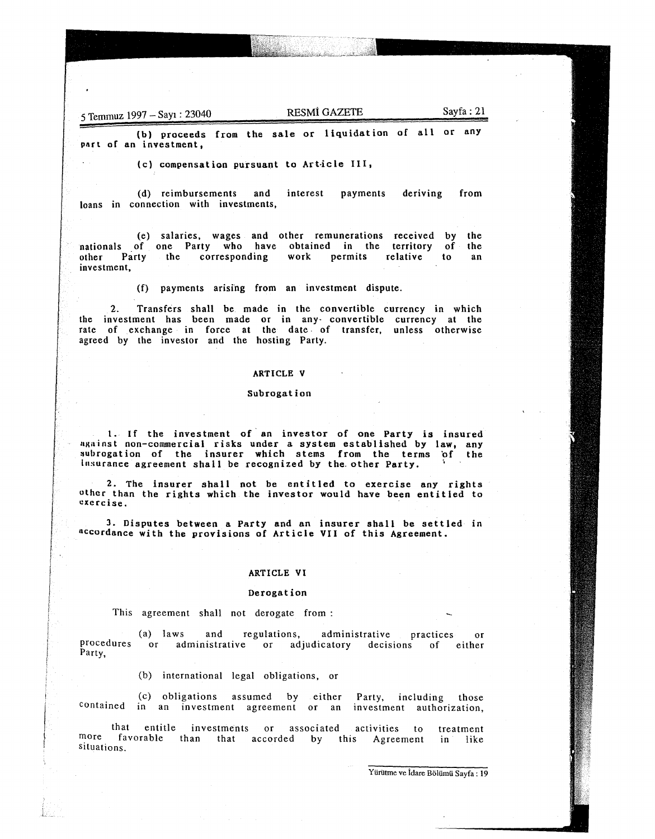5 Temmuz 1997 - Sayı : 23040 RESMİ GAZETE Sayfa : 21

(b) proceeds from the sale or liquidation of all or any pArt of an investment,

(c) compensation pursuant to Article III,

(d) reimbursements and interest payments deriving from loans in connection with investments.

(e) salaries. wages and other remunerations received by nationals of one Party who have obtained in the territory of other Party the corresponding investment. work permits relative to the the an

(f) payments arising from an investment dispute.

2. Transfers shall be made in the convertible currency in which the investment has been made or in any- convertible currency at the rate of exchange in force at the date of transfer, unless otherwise agreed by the investor and the hosting Party.

### ARTICLE V

### Subrogation

1. If the investment of· an investor of one Party is insured against non-commercial risks under a system established by law, any subrogation of the insurer which stems from the terms of the insurance agreement shall be recognized by the other Party.

2. The insurer shall not be entitled to exercise any rights other than the rights which the investor would have been entitled to exercise.

J. Disputes between a Party and an insurer shall be settled in accordance with the provisions of Article VII of this Agreement.

### ARTICLE VI

### Derogation

This agreement shall not derogate from:

procedures Party. (a) laws and regulations, administrative practices or or administrative or adjudicatory decisions of either

(b) international legal obligations, or

Contained in an investment agreement or an investment authorization, (c) obligations assumed by either Party, including those

that entitle investments or associated activities to more favorable than that accorded by this Agreement Situations. treatment in like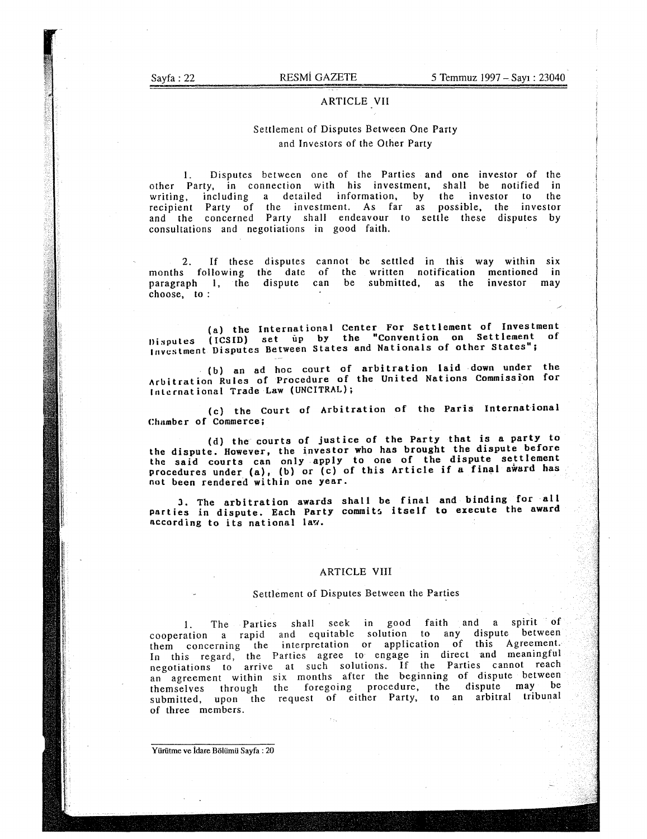## ARTICLE VII

# Settlement of Disputes Between One Party and Investors of the Other Party

I. Disputes between one of the Parties and one investor of the other Party, in connection with his investment, shall be notified in writing, including a detailed information, by the investor to the recipient Party of the investment. As far as possible, the investor and the concerned Party shall endeavour to settle these disputes by consultations and negotiations in good faith.

2. If these disputes cannot be settled in this way within six months following the date of the written notification mentioned in paragraph I, the dispute can be submitted, as the investor may choose, to:

(a) the International Center For Settlement of Investment nisputes (ICSID) set up by the "Convention on Settlement of Investment Disputes Between States and Nationals of other States";

(b) an ad hoc court of arbitration laid down under the Arbitration Rules of Procedure of the United Nations Commission for Inlernational Trade Law (UNCITRAL)i

(c) the Court of Arbitration of the Paris International Chnmber of Commerce;

(d) the courts of justice of the Party that is a party to the dispute. However, the investor who has brought the dispute before the said courts can only apply to one of the dispute settlement procedures under  $(a)$ ,  $(b)$  or  $(c)$  of this Article if a final award has not been rendered within one year.

J. The arbitration awards shall be final and binding for all parties in dispute. Each Party commits itself to execute the award according to its national law.

### ARTICLE VIII

# Settlement of Disputes Between the Parties

1. The Parties shall seek in good faith and a spirit of cooperation a rapid and equitable solution to any dispute between them concerning the interpretation or application of this Agreement. In this regard, the Patties agree to engage in direct and meaningful negotiations to arrive at such solutions. If the Parties cannot reach an agreement within six months after the beginning of dispute between themselves through the foregoing procedure, the dispute may be submitted, upon the request of either Party, to an arbitral tribunal of three members.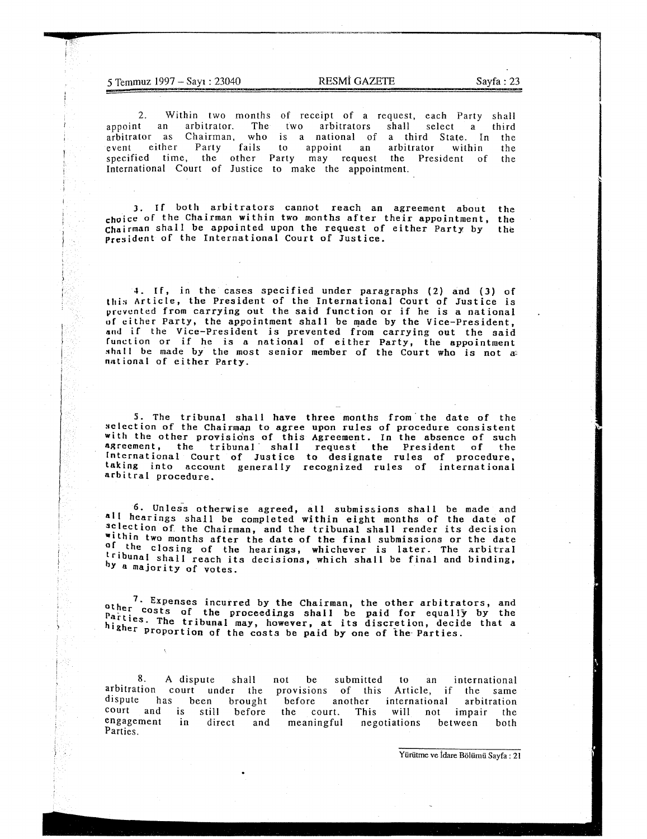5 Temmuz 1997 - Sayı : 23040 RESMİ GAZETE Sayfa : 23

'"

.~=.=-.~. ==.~-------------

2. Within two months of receipt of a request, each Party shall<br>appoint an arbitrator. The two arbitrators shall select a third arbitrator. The arbitrator as Chairman, who is a national of a third State. In the event either Party fails to appoint specified time, the other Party may request the President of the International Court of Justice to make the appointment. arbitrators shall an arbitrator within the

J. If both arbitrators cannot reach an agreement about the choice of the Chairman within two months after their appointment, the<br>Chairman shall be appointed upon the request of either Party by the  $Chairman$  shall be appointed upon the request of either Party by President of the International Court of Justice.

4. If, in the cases specified under paragraphs (2) and (3) of this Article, the President of the International Court of Justice is prevented from carrying out the said function or if he is a national of either Party, the appointment shall be made by the Vice-President. and if the Vice-President is prevented from carrying out the said function or if he is a national of either Party, the appointment  $anh 11$  be made by the most senior member of the Court who is not as national of either Party.

5. The tribunal shall have three months from· the date of the selection of the Chairmap to agree upon rules of procedure consistent with the other provisions of this Agreement. In the absence of such agreement, the tribunal shall request the President of the International Court of Justice to designate rules of procedure, taking into account generally recognized rules of international arbitral procedure.

6. Unless otherwise agreed, all submissions shall be made and all hearings shall be completed within eight months of the date of selection of the Chairman, and the tribunal shall render its decision within two months after the date of the final submissions or the date of the closing of the hearings, whichever is later. The arbitral tribunal shall reach its decisions, which shall be final and binding, by a majority of votes.

7. Expenses incurred by the Chairman, the other arbitrators, and other costs of the proceedings shall be paid for equally by the Parties. The tribunal may, however, at its discretion, decide that a higher proportion of the costs be paid by one of the Parties.

8. A dispute shall arbitration court under the provisions of this Article, if the same dispute has been brought<br>court and is still before not be submitted to an international before another international arbitration is still before the court. This will not impair the<br>in direct and meaningful negotiations between both engagement<br>Parties. meaningful negotiations between both